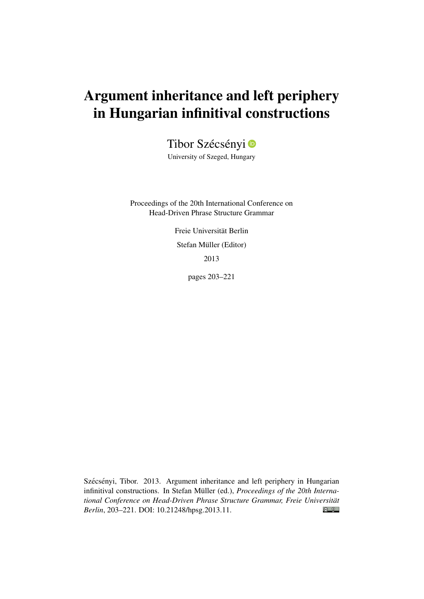# Argument inheritance and left periphery in Hungarian infinitival constructions

Tibor Szécsényi<sup>o</sup>

University of Szeged, Hungary

Proceedings of the 20th International Conference on Head-Driven Phrase Structure Grammar

> Freie Universität Berlin Stefan Müller (Editor) 2013

> > pages 203–221

Szécsényi, Tibor. 2013. Argument inheritance and left periphery in Hungarian infinitival constructions. In Stefan Müller (ed.), *Proceedings of the 20th International Conference on Head-Driven Phrase Structure Grammar, Freie Universität*  $\odot$   $\odot$ *Berlin*, 203–221. DOI: [10.21248/hpsg.2013.11.](http://doi.org/10.21248/hpsg.2013.11)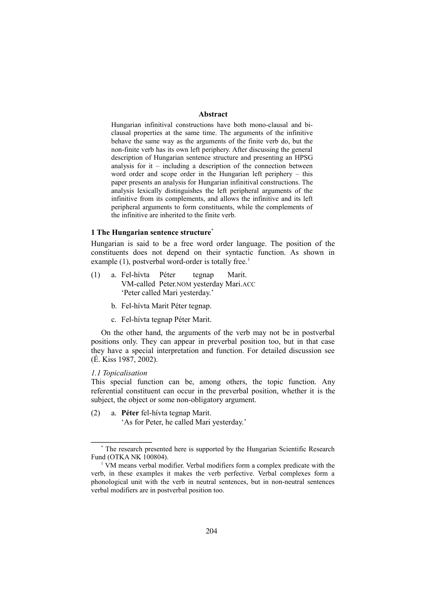# **Abstract**

Hungarian infinitival constructions have both mono-clausal and biclausal properties at the same time. The arguments of the infinitive behave the same way as the arguments of the finite verb do, but the non-finite verb has its own left periphery. After discussing the general description of Hungarian sentence structure and presenting an HPSG analysis for it  $-$  including a description of the connection between word order and scope order in the Hungarian left periphery – this paper presents an analysis for Hungarian infinitival constructions. The analysis lexically distinguishes the left peripheral arguments of the infinitive from its complements, and allows the infinitive and its left peripheral arguments to form constituents, while the complements of the infinitive are inherited to the finite verb.

# **1 The Hungarian sentence structure\***

Hungarian is said to be a free word order language. The position of the constituents does not depend on their syntactic function. As shown in example  $(1)$ , postverbal word-order is totally free.<sup>1</sup>

- (1) a. Fel-hívta Péter tegnap Marit. VM-called Peter.NOM yesterday Mari.ACC 'Peter called Mari yesterday.'
	- b. Fel-hívta Marit Péter tegnap.
	- c. Fel-hívta tegnap Péter Marit.

On the other hand, the arguments of the verb may not be in postverbal positions only. They can appear in preverbal position too, but in that case they have a special interpretation and function. For detailed discussion see (É. Kiss 1987, 2002).

#### *1.1 Topicalisation*

This special function can be, among others, the topic function. Any referential constituent can occur in the preverbal position, whether it is the subject, the object or some non-obligatory argument.

(2) a. **Péter** fel-hívta tegnap Marit. 'As for Peter, he called Mari yesterday.'

<sup>\*</sup> The research presented here is supported by the Hungarian Scientific Research Fund (OTKA NK 100804).

<sup>&</sup>lt;sup>1</sup> VM means verbal modifier. Verbal modifiers form a complex predicate with the verb, in these examples it makes the verb perfective. Verbal complexes form a phonological unit with the verb in neutral sentences, but in non-neutral sentences verbal modifiers are in postverbal position too.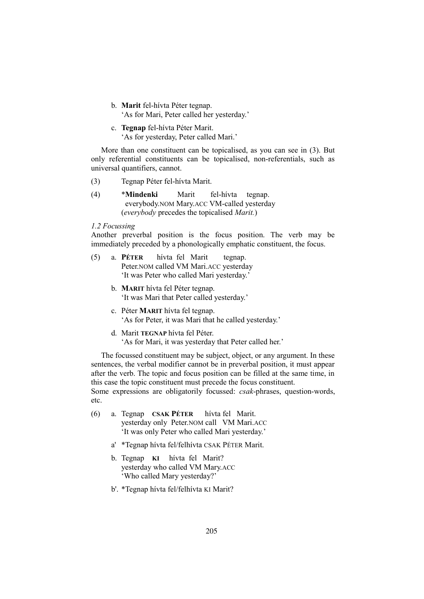- b. **Marit** fel-hívta Péter tegnap. 'As for Mari, Peter called her yesterday.'
- c. **Tegnap** fel-hívta Péter Marit. 'As for yesterday, Peter called Mari.'

More than one constituent can be topicalised, as you can see in (3). But only referential constituents can be topicalised, non-referentials, such as universal quantifiers, cannot.

- (3) Tegnap Péter fel-hívta Marit.
- (4) \***Mindenki** Marit fel-hívta tegnap. everybody.NOM Mary.ACC VM-called yesterday (*everybody* precedes the topicalised *Marit.*)

### *1.2 Focussing*

Another preverbal position is the focus position. The verb may be immediately preceded by a phonologically emphatic constituent, the focus.

- (5) a. **PÉTER** hívta fel Marit tegnap. Peter.NOM called VM Mari.ACC yesterday 'It was Peter who called Mari yesterday.'
	- b. **MARIT** hívta fel Péter tegnap. 'It was Mari that Peter called yesterday.'
	- c. Péter **MARIT** hívta fel tegnap. 'As for Peter, it was Mari that he called yesterday.'
	- d. Marit **TEGNAP** hívta fel Péter. 'As for Mari, it was yesterday that Peter called her.'

The focussed constituent may be subject, object, or any argument. In these sentences, the verbal modifier cannot be in preverbal position, it must appear after the verb. The topic and focus position can be filled at the same time, in this case the topic constituent must precede the focus constituent. Some expressions are obligatorily focussed: *csak*-phrases, question-words, etc.

- (6) a. Tegnap **CSAK PÉTER** hívta fel Marit. yesterday only Peter.NOM call VM Mari.ACC 'It was only Peter who called Mari yesterday.'
	- a' \*Tegnap hívta fel/felhívta CSAK PÉTER Marit.
	- b. Tegnap **KI** hívta fel Marit? yesterday who called VM Mary.ACC 'Who called Mary yesterday?'
	- b'. \*Tegnap hívta fel/felhívta KI Marit?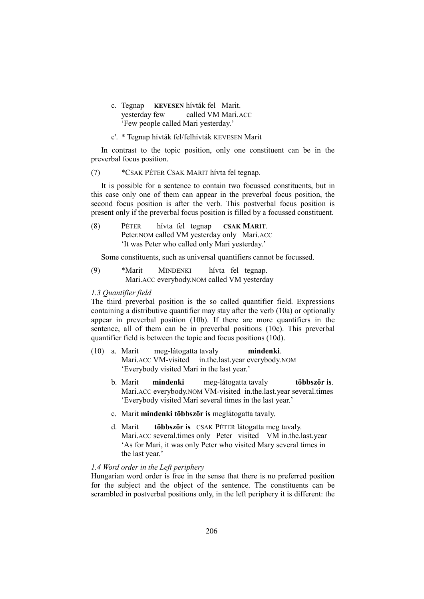- c. Tegnap **KEVESEN** hívták fel Marit. yesterday few called VM Mari.ACC 'Few people called Mari yesterday.'
- c'. \* Tegnap hívták fel/felhívták KEVESEN Marit

In contrast to the topic position, only one constituent can be in the preverbal focus position.

(7) \*CSAK PÉTER CSAK MARIT hívta fel tegnap.

It is possible for a sentence to contain two focussed constituents, but in this case only one of them can appear in the preverbal focus position, the second focus position is after the verb. This postverbal focus position is present only if the preverbal focus position is filled by a focussed constituent.

(8) PÉTER hívta fel tegnap **CSAK MARIT**. Peter.NOM called VM yesterday only Mari.ACC 'It was Peter who called only Mari yesterday.'

Some constituents, such as universal quantifiers cannot be focussed.

(9) \*Marit MINDENKI hívta fel tegnap. Mari.ACC everybody.NOM called VM yesterday

# *1.3 Quantifier field*

The third preverbal position is the so called quantifier field. Expressions containing a distributive quantifier may stay after the verb (10a) or optionally appear in preverbal position (10b). If there are more quantifiers in the sentence, all of them can be in preverbal positions (10c). This preverbal quantifier field is between the topic and focus positions (10d).

- (10) a. Marit meg-látogatta tavaly **mindenki**. Mari.ACC VM-visited in.the.last.year everybody.NOM 'Everybody visited Mari in the last year.'
	- b. Marit **mindenki** meg-látogatta tavaly **többször is**. Mari.ACC everybody.NOM VM-visited in.the.last.year several.times 'Everybody visited Mari several times in the last year.'
	- c. Marit **mindenki többször is** meglátogatta tavaly.
	- d. Marit **többször is** CSAK PÉTER látogatta meg tavaly. Mari.ACC several.times only Peter visited VM in.the.last.year 'As for Mari, it was only Peter who visited Mary several times in the last year.'

# *1.4 Word order in the Left periphery*

Hungarian word order is free in the sense that there is no preferred position for the subject and the object of the sentence. The constituents can be scrambled in postverbal positions only, in the left periphery it is different: the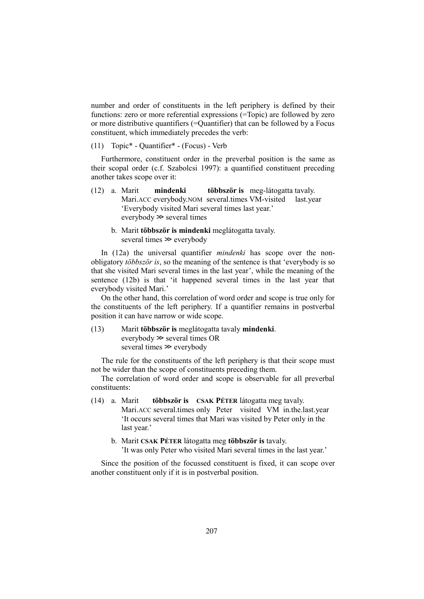number and order of constituents in the left periphery is defined by their functions: zero or more referential expressions (=Topic) are followed by zero or more distributive quantifiers (=Quantifier) that can be followed by a Focus constituent, which immediately precedes the verb:

(11) Topic\* - Quantifier\* - (Focus) - Verb

Furthermore, constituent order in the preverbal position is the same as their scopal order (c.f. Szabolcsi 1997): a quantified constituent preceding another takes scope over it:

- (12) a. Marit **mindenki többször is** meg-látogatta tavaly. Mari.ACC everybody.NOM several.times VM-visited last.year 'Everybody visited Mari several times last year.' everybody ≫ several times
	- b. Marit **többször is mindenki** meglátogatta tavaly. several times ≫ everybody

In (12a) the universal quantifier *mindenki* has scope over the nonobligatory *többször is*, so the meaning of the sentence is that 'everybody is so that she visited Mari several times in the last year', while the meaning of the sentence (12b) is that 'it happened several times in the last year that everybody visited Mari.'

On the other hand, this correlation of word order and scope is true only for the constituents of the left periphery. If a quantifier remains in postverbal position it can have narrow or wide scope.

(13) Marit **többször is** meglátogatta tavaly **mindenki**. everybody ≫ several times OR several times ≫ everybody

The rule for the constituents of the left periphery is that their scope must not be wider than the scope of constituents preceding them.

The correlation of word order and scope is observable for all preverbal constituents:

- (14) a. Marit **többször is CSAK PÉTER** látogatta meg tavaly. Mari.ACC several.times only Peter visited VM in.the.last.year 'It occurs several times that Mari was visited by Peter only in the last year.'
	- b. Marit **CSAK PÉTER** látogatta meg **többször is** tavaly. 'It was only Peter who visited Mari several times in the last year.'

Since the position of the focussed constituent is fixed, it can scope over another constituent only if it is in postverbal position.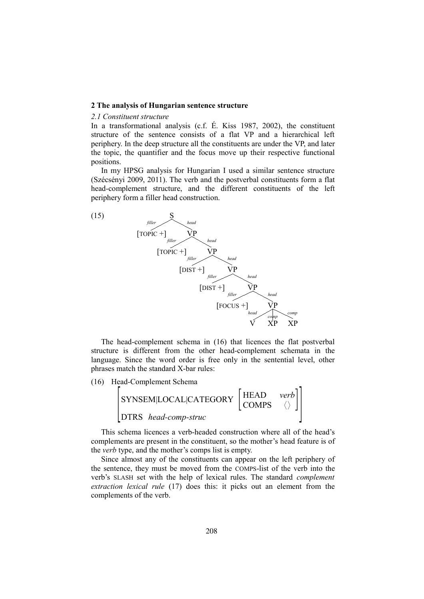# **2 The analysis of Hungarian sentence structure**

#### *2.1 Constituent structure*

In a transformational analysis (c.f. É. Kiss 1987, 2002), the constituent structure of the sentence consists of a flat VP and a hierarchical left periphery. In the deep structure all the constituents are under the VP, and later the topic, the quantifier and the focus move up their respective functional positions.

In my HPSG analysis for Hungarian I used a similar sentence structure (Szécsényi 2009, 2011). The verb and the postverbal constituents form a flat head-complement structure, and the different constituents of the left periphery form a filler head construction.



The head-complement schema in (16) that licences the flat postverbal structure is different from the other head-complement schemata in the language. Since the word order is free only in the sentential level, other phrases match the standard X-bar rules:

(16) Head-Complement Schema



This schema licences a verb-headed construction where all of the head's complements are present in the constituent, so the mother's head feature is of the *verb* type, and the mother's comps list is empty.

Since almost any of the constituents can appear on the left periphery of the sentence, they must be moved from the COMPS-list of the verb into the verb's SLASH set with the help of lexical rules. The standard *complement extraction lexical rule* (17) does this: it picks out an element from the complements of the verb.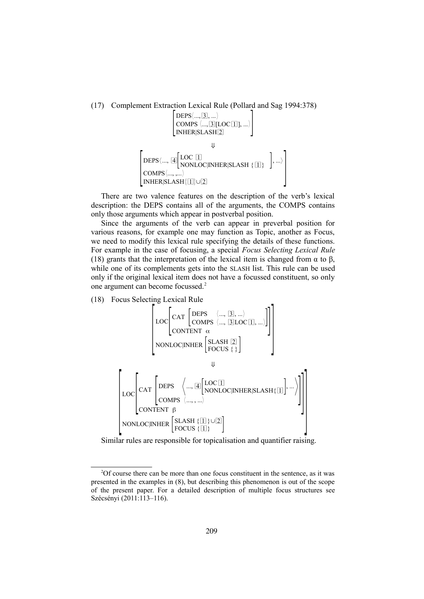(17) Complement Extraction Lexical Rule (Pollard and Sag 1994:378)

$$
\begin{bmatrix} \text{DEPS}\langle ... , \boxed{3} ], ... \rangle \\ \text{COMPS}\langle ... , \boxed{3}[\text{LOC} \boxed{1} ], ... \rangle \\ \text{INHER}|\text{SLASH} \boxed{2} \\ \Downarrow \\ \text{DEPS}\langle ... , \boxed{4} \boxed{\text{LOC} \boxed{1}} \\ \text{COMPS}\langle ... , ... \rangle \\ \text{INHER}|\text{SLASH} \boxed{1}] \cup \boxed{2} \end{bmatrix}, ... \rangle
$$

There are two valence features on the description of the verb's lexical description: the DEPS contains all of the arguments, the COMPS contains only those arguments which appear in postverbal position.

Since the arguments of the verb can appear in preverbal position for various reasons, for example one may function as Topic, another as Focus, we need to modify this lexical rule specifying the details of these functions. For example in the case of focusing, a special *Focus Selecting Lexical Rule* (18) grants that the interpretation of the lexical item is changed from  $\alpha$  to  $\beta$ , while one of its complements gets into the SLASH list. This rule can be used only if the original lexical item does not have a focussed constituent, so only one argument can become focussed.<sup>2</sup>

(18) Focus Selecting Lexical Rule



Similar rules are responsible for topicalisation and quantifier raising.

<sup>&</sup>lt;sup>2</sup>Of course there can be more than one focus constituent in the sentence, as it was presented in the examples in (8), but describing this phenomenon is out of the scope of the present paper. For a detailed description of multiple focus structures see Szécsényi (2011:113–116).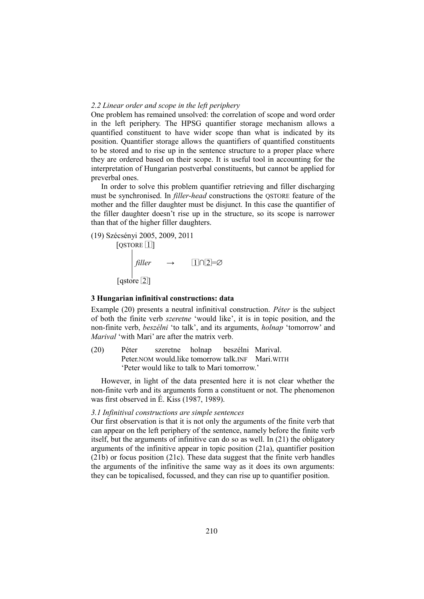## *2.2 Linear order and scope in the left periphery*

One problem has remained unsolved: the correlation of scope and word order in the left periphery. The HPSG quantifier storage mechanism allows a quantified constituent to have wider scope than what is indicated by its position. Quantifier storage allows the quantifiers of quantified constituents to be stored and to rise up in the sentence structure to a proper place where they are ordered based on their scope. It is useful tool in accounting for the interpretation of Hungarian postverbal constituents, but cannot be applied for preverbal ones.

In order to solve this problem quantifier retrieving and filler discharging must be synchronised. In *filler-head* constructions the QSTORE feature of the mother and the filler daughter must be disjunct. In this case the quantifier of the filler daughter doesn't rise up in the structure, so its scope is narrower than that of the higher filler daughters.

(19) Szécsényi 2005, 2009, 2011  $[QSTORE 1]$ 

$$
\int \text{filter} \rightarrow \text{In} \mathbb{Z} \Rightarrow
$$
\n[gstore [2]]

#### **3 Hungarian infinitival constructions: data**

Example (20) presents a neutral infinitival construction. *Péter* is the subject of both the finite verb *szeretne* 'would like', it is in topic position, and the non-finite verb, *beszélni* 'to talk', and its arguments, *holnap* 'tomorrow' and *Marival* 'with Mari' are after the matrix verb.

(20) Péter szeretne holnap beszélni Marival. Peter.NOM would.like tomorrow talk.INF Mari.WITH 'Peter would like to talk to Mari tomorrow.'

However, in light of the data presented here it is not clear whether the non-finite verb and its arguments form a constituent or not. The phenomenon was first observed in É. Kiss (1987, 1989).

## *3.1 Infinitival constructions are simple sentences*

Our first observation is that it is not only the arguments of the finite verb that can appear on the left periphery of the sentence, namely before the finite verb itself, but the arguments of infinitive can do so as well. In (21) the obligatory arguments of the infinitive appear in topic position (21a), quantifier position (21b) or focus position (21c). These data suggest that the finite verb handles the arguments of the infinitive the same way as it does its own arguments: they can be topicalised, focussed, and they can rise up to quantifier position.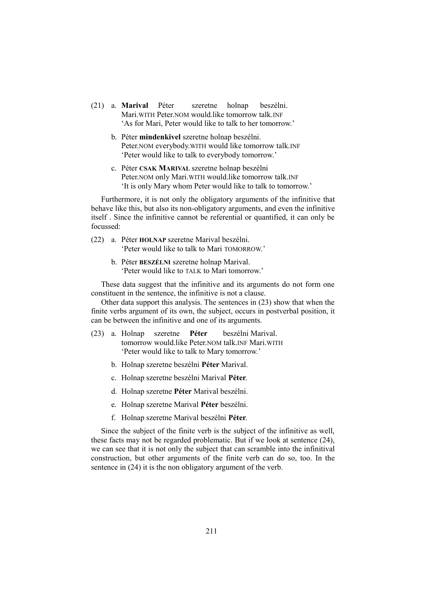- (21) a. **Marival** Péter szeretne holnap beszélni. Mari.WITH Peter.NOM would.like tomorrow talk.INF 'As for Mari, Peter would like to talk to her tomorrow.'
	- b. Péter **mindenkivel** szeretne holnap beszélni. Peter.NOM everybody.WITH would like tomorrow talk.INF 'Peter would like to talk to everybody tomorrow.'
	- c. Péter **CSAK MARIVAL** szeretne holnap beszélni Peter.NOM only Mari.WITH would.like tomorrow talk.INF 'It is only Mary whom Peter would like to talk to tomorrow.'

Furthermore, it is not only the obligatory arguments of the infinitive that behave like this, but also its non-obligatory arguments, and even the infinitive itself . Since the infinitive cannot be referential or quantified, it can only be focussed:

- (22) a. Péter **HOLNAP** szeretne Marival beszélni. 'Peter would like to talk to Mari TOMORROW.'
	- b. Péter **BESZÉLNI** szeretne holnap Marival. 'Peter would like to TALK to Mari tomorrow.'

These data suggest that the infinitive and its arguments do not form one constituent in the sentence, the infinitive is not a clause.

Other data support this analysis. The sentences in (23) show that when the finite verbs argument of its own, the subject, occurs in postverbal position, it can be between the infinitive and one of its arguments.

- (23) a. Holnap szeretne **Péter** beszélni Marival. tomorrow would.like Peter.NOM talk.INF Mari.WITH 'Peter would like to talk to Mary tomorrow.'
	- b. Holnap szeretne beszélni **Péter** Marival.
	- c. Holnap szeretne beszélni Marival **Péter**.
	- d. Holnap szeretne **Péter** Marival beszélni.
	- e. Holnap szeretne Marival **Péter** beszélni.
	- f. Holnap szeretne Marival beszélni **Péter**.

Since the subject of the finite verb is the subject of the infinitive as well, these facts may not be regarded problematic. But if we look at sentence (24), we can see that it is not only the subject that can scramble into the infinitival construction, but other arguments of the finite verb can do so, too. In the sentence in (24) it is the non obligatory argument of the verb.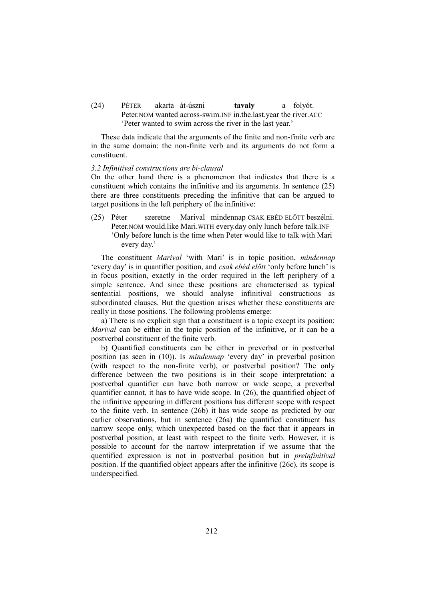(24) PÉTER akarta át-úszni **tavaly** a folyót. Peter.NOM wanted across-swim.INF in.the.last.year the river.ACC 'Peter wanted to swim across the river in the last year.'

These data indicate that the arguments of the finite and non-finite verb are in the same domain: the non-finite verb and its arguments do not form a constituent.

### *3.2 Infinitival constructions are bi-clausal*

On the other hand there is a phenomenon that indicates that there is a constituent which contains the infinitive and its arguments. In sentence (25) there are three constituents preceding the infinitive that can be argued to target positions in the left periphery of the infinitive:

(25) Péter szeretne Marival mindennap CSAK EBÉD ELŐTT beszélni. Peter.NOM would.like Mari.WITH every.day only lunch before talk.INF 'Only before lunch is the time when Peter would like to talk with Mari every day.'

The constituent *Marival* 'with Mari' is in topic position, *mindennap* 'every day' is in quantifier position, and *csak ebéd előtt* 'only before lunch' is in focus position, exactly in the order required in the left periphery of a simple sentence. And since these positions are characterised as typical sentential positions, we should analyse infinitival constructions as subordinated clauses. But the question arises whether these constituents are really in those positions. The following problems emerge:

a) There is no explicit sign that a constituent is a topic except its position: *Marival* can be either in the topic position of the infinitive, or it can be a postverbal constituent of the finite verb.

b) Quantified constituents can be either in preverbal or in postverbal position (as seen in (10)). Is *mindennap* 'every day' in preverbal position (with respect to the non-finite verb), or postverbal position? The only difference between the two positions is in their scope interpretation: a postverbal quantifier can have both narrow or wide scope, a preverbal quantifier cannot, it has to have wide scope. In (26), the quantified object of the infinitive appearing in different positions has different scope with respect to the finite verb. In sentence (26b) it has wide scope as predicted by our earlier observations, but in sentence (26a) the quantified constituent has narrow scope only, which unexpected based on the fact that it appears in postverbal position, at least with respect to the finite verb. However, it is possible to account for the narrow interpretation if we assume that the quentified expression is not in postverbal position but in *preinfinitival* position. If the quantified object appears after the infinitive (26c), its scope is underspecified.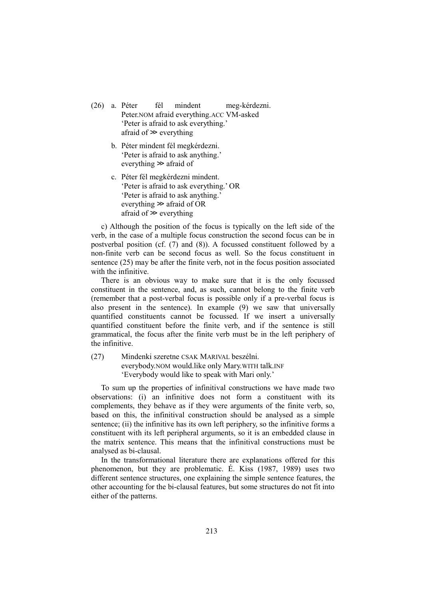- (26) a. Péter fél mindent meg-kérdezni. Peter.NOM afraid everything.ACC VM-asked 'Peter is afraid to ask everything.' afraid of ≫ everything
	- b. Péter mindent fél megkérdezni. 'Peter is afraid to ask anything.' everything ≫ afraid of
	- c. Péter fél megkérdezni mindent. 'Peter is afraid to ask everything.' OR 'Peter is afraid to ask anything.' everything ≫ afraid of OR afraid of ≫ everything

c) Although the position of the focus is typically on the left side of the verb, in the case of a multiple focus construction the second focus can be in postverbal position (cf. (7) and (8)). A focussed constituent followed by a non-finite verb can be second focus as well. So the focus constituent in sentence (25) may be after the finite verb, not in the focus position associated with the infinitive.

There is an obvious way to make sure that it is the only focussed constituent in the sentence, and, as such, cannot belong to the finite verb (remember that a post-verbal focus is possible only if a pre-verbal focus is also present in the sentence). In example (9) we saw that universally quantified constituents cannot be focussed. If we insert a universally quantified constituent before the finite verb, and if the sentence is still grammatical, the focus after the finite verb must be in the left periphery of the infinitive.

(27) Mindenki szeretne CSAK MARIVAL beszélni. everybody.NOM would.like only Mary.WITH talk.INF 'Everybody would like to speak with Mari only.'

To sum up the properties of infinitival constructions we have made two observations: (i) an infinitive does not form a constituent with its complements, they behave as if they were arguments of the finite verb, so, based on this, the infinitival construction should be analysed as a simple sentence; (ii) the infinitive has its own left periphery, so the infinitive forms a constituent with its left peripheral arguments, so it is an embedded clause in the matrix sentence. This means that the infinitival constructions must be analysed as bi-clausal.

In the transformational literature there are explanations offered for this phenomenon, but they are problematic. É. Kiss (1987, 1989) uses two different sentence structures, one explaining the simple sentence features, the other accounting for the bi-clausal features, but some structures do not fit into either of the patterns.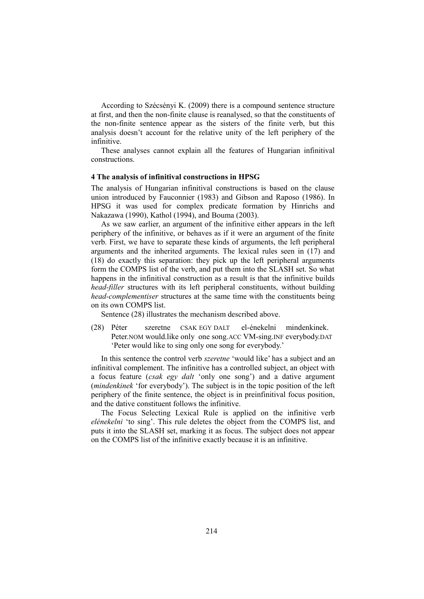According to Szécsényi K. (2009) there is a compound sentence structure at first, and then the non-finite clause is reanalysed, so that the constituents of the non-finite sentence appear as the sisters of the finite verb, but this analysis doesn't account for the relative unity of the left periphery of the infinitive.

These analyses cannot explain all the features of Hungarian infinitival constructions.

### **4 The analysis of infinitival constructions in HPSG**

The analysis of Hungarian infinitival constructions is based on the clause union introduced by Fauconnier (1983) and Gibson and Raposo (1986). In HPSG it was used for complex predicate formation by Hinrichs and Nakazawa (1990), Kathol (1994), and Bouma (2003).

As we saw earlier, an argument of the infinitive either appears in the left periphery of the infinitive, or behaves as if it were an argument of the finite verb. First, we have to separate these kinds of arguments, the left peripheral arguments and the inherited arguments. The lexical rules seen in (17) and (18) do exactly this separation: they pick up the left peripheral arguments form the COMPS list of the verb, and put them into the SLASH set. So what happens in the infinitival construction as a result is that the infinitive builds *head-filler* structures with its left peripheral constituents, without building *head-complementiser* structures at the same time with the constituents being on its own COMPS list.

Sentence (28) illustrates the mechanism described above.

(28) Péter szeretne CSAK EGY DALT el-énekelni mindenkinek. Peter.NOM would.like only one song.ACC VM-sing.INF everybody.DAT 'Peter would like to sing only one song for everybody.'

In this sentence the control verb *szeretne* 'would like' has a subject and an infinitival complement. The infinitive has a controlled subject, an object with a focus feature (*csak egy dalt* 'only one song') and a dative argument (*mindenkinek* 'for everybody'). The subject is in the topic position of the left periphery of the finite sentence, the object is in preinfinitival focus position, and the dative constituent follows the infinitive.

The Focus Selecting Lexical Rule is applied on the infinitive verb *elénekelni* 'to sing'. This rule deletes the object from the COMPS list, and puts it into the SLASH set, marking it as focus. The subject does not appear on the COMPS list of the infinitive exactly because it is an infinitive.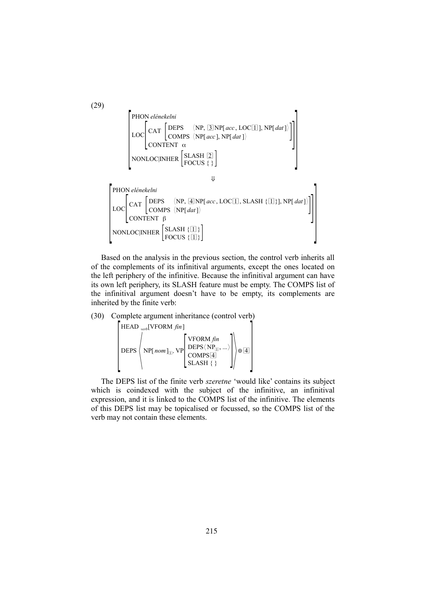PHON elénekelni

\n
$$
\begin{bmatrix}\n\text{PHON} \text{ elénekelni} \\
\text{LOC} \\
\text{CAT} \\
\text{COMPS} \\
\text{ONTENT} \\
\alpha\n\end{bmatrix}
$$
\n
$$
\begin{bmatrix}\n\text{DEPS} & \langle NP, \text{[3]NP}[\text{ acc}, \text{LOC}[\text{1}], \text{NP}[\text{dat}]) \\
\text{CONTENT} \\
\alpha\n\end{bmatrix}
$$
\n
$$
\begin{bmatrix}\n\text{NONLOC}|\text{INHER} \\
\text{FOCUS} {\{\}}\n\end{bmatrix}
$$
\n
$$
\begin{bmatrix}\n\text{PHON} \text{ elénekelni} \\
\text{LOC} \\
\text{CAT} \\
\text{COMPS} \\
\text{CONTENT} \\
\text{CONTENT} \\
\beta\n\end{bmatrix}
$$
\n
$$
\begin{bmatrix}\n\text{DLPS} & \langle NP, \text{[4]NP}[\text{acc}, \text{LOC}[\text{1}], \text{SLASH} \{\text{1}]\} \\
\text{ONLOC}|\text{INHER} \\
\text{FOCUS} {\{\text{1}]\}}\n\end{bmatrix}
$$

Based on the analysis in the previous section, the control verb inherits all of the complements of its infinitival arguments, except the ones located on the left periphery of the infinitive. Because the infinitival argument can have its own left periphery, its SLASH feature must be empty. The COMPS list of the infinitival argument doesn't have to be empty, its complements are inherited by the finite verb:

(30) Complete argument inheritance (control verb)

 $\Big|$ HEAD [VFORM *fin*] *verb*  $\left[\text{DEPS}\left(\text{NP}[\text{nom}]_{\text{II}}, \text{VP}[\text{C}]\right]_{\text{C}}^{D}$ VFORM *fin*  $\mathrm{DEPS}\langle\,\mathrm{NP}_{\text{1}}, ...\rangle$  $\left\{\begin{matrix} \text{COMPS}[4] \\ \text{SLASH} \end{matrix}\right\} \right\} \oplus \boxed{4}$ 

The DEPS list of the finite verb *szeretne* 'would like' contains its subject which is coindexed with the subject of the infinitive, an infinitival expression, and it is linked to the COMPS list of the infinitive. The elements of this DEPS list may be topicalised or focussed, so the COMPS list of the verb may not contain these elements.

(29)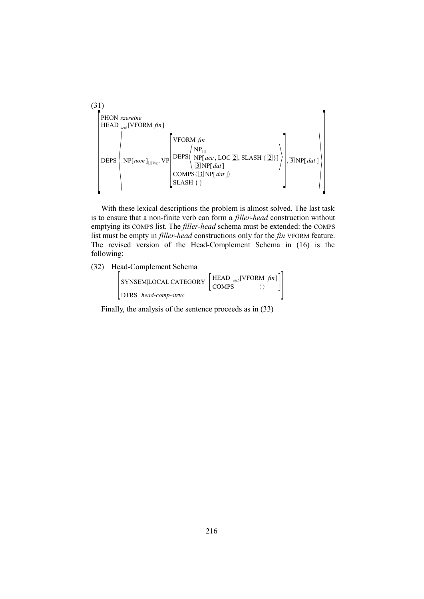(31)  
\nPHON *szeretne*  
\nHEAD <sub>verb</sub>[VFORM *fin*]  
\nDEPS  
\n
$$
NP[nom]_{\square s_{sg}}, VP \begin{bmatrix}\nVPORM fin \\
DP_{\square} \\
\square NP[acc, LOC[2], SLASH {\{2\}}] \\
\square NP[dat]\n\end{bmatrix}, \square NP[dat]\nSLASH {\{2\}}]
$$

With these lexical descriptions the problem is almost solved. The last task is to ensure that a non-finite verb can form a *filler-head* construction without emptying its COMPS list. The *filler-head* schema must be extended: the COMPS list must be empty in *filler-head* constructions only for the *fin* VFORM feature. The revised version of the Head-Complement Schema in (16) is the following:

(32) Head-Complement Schema

| SYNSEM LOCAL CATEGORY | $\left[ \text{HEAD}_{verb}[\text{VFORM} \, fin] \right]$<br>COMPS <sup>1</sup> |
|-----------------------|--------------------------------------------------------------------------------|
| DTRS head-comp-struc  |                                                                                |

Finally, the analysis of the sentence proceeds as in (33)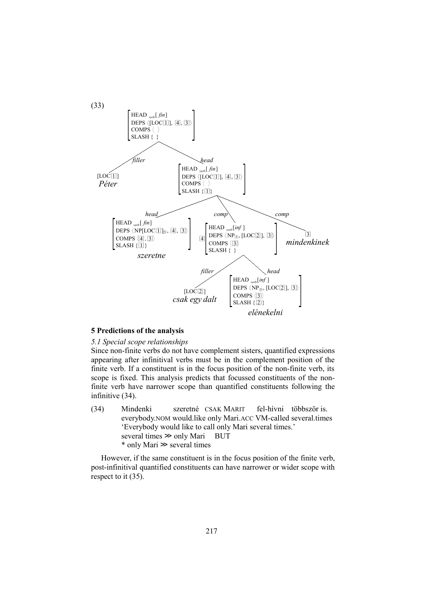

# **5 Predictions of the analysis**

#### *5.1 Special scope relationships*

Since non-finite verbs do not have complement sisters, quantified expressions appearing after infinitival verbs must be in the complement position of the finite verb. If a constituent is in the focus position of the non-finite verb, its scope is fixed. This analysis predicts that focussed constituents of the nonfinite verb have narrower scope than quantified constituents following the infinitive (34).

(34) Mindenki szeretné CSAK MARIT fel-hívni többször is. everybody.NOM would.like only Mari.ACC VM-called several.times 'Everybody would like to call only Mari several times.' several times  $\gg$  only Mari BUT \* only Mari ≫ several times

However, if the same constituent is in the focus position of the finite verb, post-infinitival quantified constituents can have narrower or wider scope with respect to it (35).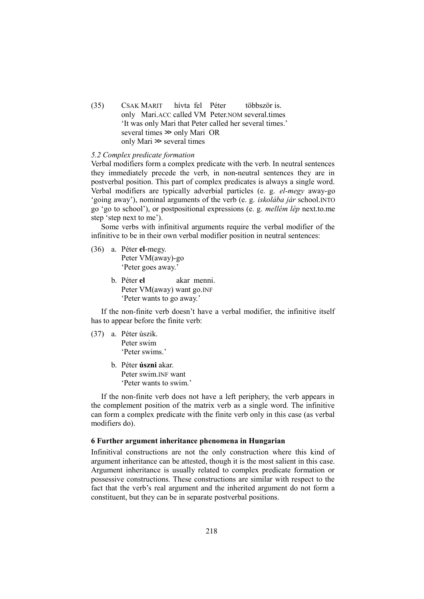(35) CSAK MARIT hívta fel Péter többször is. only Mari.ACC called VM Peter.NOM several.times 'It was only Mari that Peter called her several times.' several times ≫ only Mari OR only Mari ≫ several times

# *5.2 Complex predicate formation*

Verbal modifiers form a complex predicate with the verb. In neutral sentences they immediately precede the verb, in non-neutral sentences they are in postverbal position. This part of complex predicates is always a single word. Verbal modifiers are typically adverbial particles (e. g. *el-megy* away-go 'going away'), nominal arguments of the verb (e. g. *iskolába jár* school.INTO go 'go to school'), or postpositional expressions (e. g. *mellém lép* next.to.me step 'step next to me').

Some verbs with infinitival arguments require the verbal modifier of the infinitive to be in their own verbal modifier position in neutral sentences:

- (36) a. Péter **el**-megy. Peter VM(away)-go 'Peter goes away.'
	- b. Péter **el** akar menni. Peter VM(away) want go.INF 'Peter wants to go away.'

If the non-finite verb doesn't have a verbal modifier, the infinitive itself has to appear before the finite verb:

- (37) a. Péter úszik. Peter swim 'Peter swims.'
	- b. Péter **úszni** akar. Peter swim.INF want 'Peter wants to swim.'

If the non-finite verb does not have a left periphery, the verb appears in the complement position of the matrix verb as a single word. The infinitive can form a complex predicate with the finite verb only in this case (as verbal modifiers do).

# **6 Further argument inheritance phenomena in Hungarian**

Infinitival constructions are not the only construction where this kind of argument inheritance can be attested, though it is the most salient in this case. Argument inheritance is usually related to complex predicate formation or possessive constructions. These constructions are similar with respect to the fact that the verb's real argument and the inherited argument do not form a constituent, but they can be in separate postverbal positions.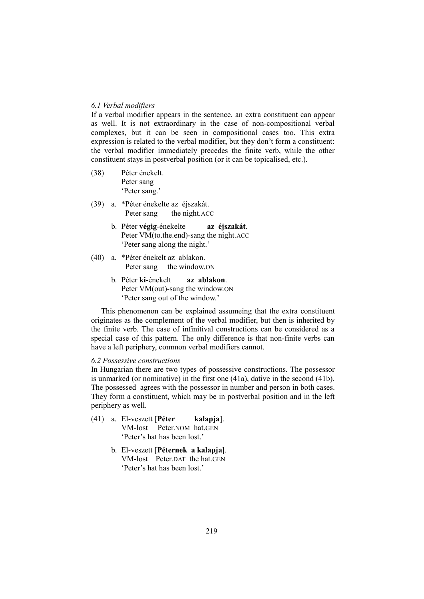# *6.1 Verbal modifiers*

If a verbal modifier appears in the sentence, an extra constituent can appear as well. It is not extraordinary in the case of non-compositional verbal complexes, but it can be seen in compositional cases too. This extra expression is related to the verbal modifier, but they don't form a constituent: the verbal modifier immediately precedes the finite verb, while the other constituent stays in postverbal position (or it can be topicalised, etc.).

- (38) Péter énekelt. Peter sang 'Peter sang.'
- (39) a. \*Péter énekelte az éjszakát. Peter sang the night.ACC
	- b. Péter **végig**-énekelte **az éjszakát**. Peter VM(to.the.end)-sang the night.ACC 'Peter sang along the night.'
- (40) a. \*Péter énekelt az ablakon. Peter sang the window.ON
	- b. Péter **ki**-énekelt **az ablakon**. Peter VM(out)-sang the window.ON 'Peter sang out of the window.'

This phenomenon can be explained assumeing that the extra constituent originates as the complement of the verbal modifier, but then is inherited by the finite verb. The case of infinitival constructions can be considered as a special case of this pattern. The only difference is that non-finite verbs can have a left periphery, common verbal modifiers cannot.

# *6.2 Possessive constructions*

In Hungarian there are two types of possessive constructions. The possessor is unmarked (or nominative) in the first one (41a), dative in the second (41b). The possessed agrees with the possessor in number and person in both cases. They form a constituent, which may be in postverbal position and in the left periphery as well.

- (41) a. El-veszett [**Péter kalapja**]. VM-lost Peter.NOM hat.GEN 'Peter's hat has been lost.'
	- b. El-veszett [**Péternek a kalapja]**. VM-lost Peter DAT the hat GEN 'Peter's hat has been lost.'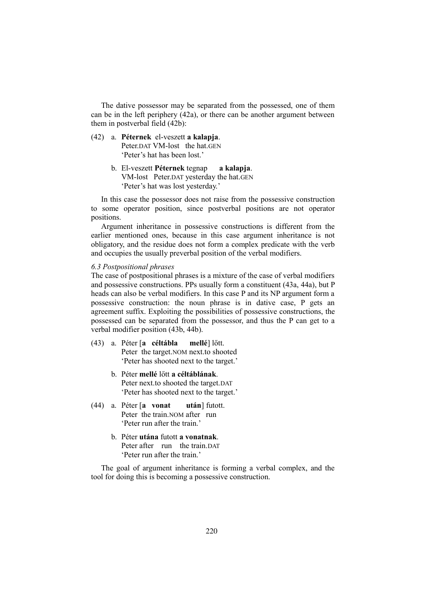The dative possessor may be separated from the possessed, one of them can be in the left periphery (42a), or there can be another argument between them in postverbal field (42b):

# (42) a. **Péternek** el-veszett **a kalapja**. Peter.DAT VM-lost the hat.GEN 'Peter's hat has been lost.'

b. El-veszett **Péternek** tegnap **a kalapja**. VM-lost Peter.DAT yesterday the hat.GEN 'Peter's hat was lost yesterday.'

In this case the possessor does not raise from the possessive construction to some operator position, since postverbal positions are not operator positions.

Argument inheritance in possessive constructions is different from the earlier mentioned ones, because in this case argument inheritance is not obligatory, and the residue does not form a complex predicate with the verb and occupies the usually preverbal position of the verbal modifiers.

#### *6.3 Postpositional phrases*

The case of postpositional phrases is a mixture of the case of verbal modifiers and possessive constructions. PPs usually form a constituent (43a, 44a), but P heads can also be verbal modifiers. In this case P and its NP argument form a possessive construction: the noun phrase is in dative case, P gets an agreement suffix. Exploiting the possibilities of possessive constructions, the possessed can be separated from the possessor, and thus the P can get to a verbal modifier position (43b, 44b).

- (43) a. Péter [**a céltábla mellé**] lőtt. Peter the target.NOM next.to shooted 'Peter has shooted next to the target.'
	- b. Péter **mellé** lőtt **a céltáblának**. Peter next.to shooted the target.DAT 'Peter has shooted next to the target.'
- (44) a. Péter [**a vonat után**] futott. Peter the train.NOM after run 'Peter run after the train.'
	- b. Péter **utána** futott **a vonatnak**. Peter after run the train DAT 'Peter run after the train.'

The goal of argument inheritance is forming a verbal complex, and the tool for doing this is becoming a possessive construction.